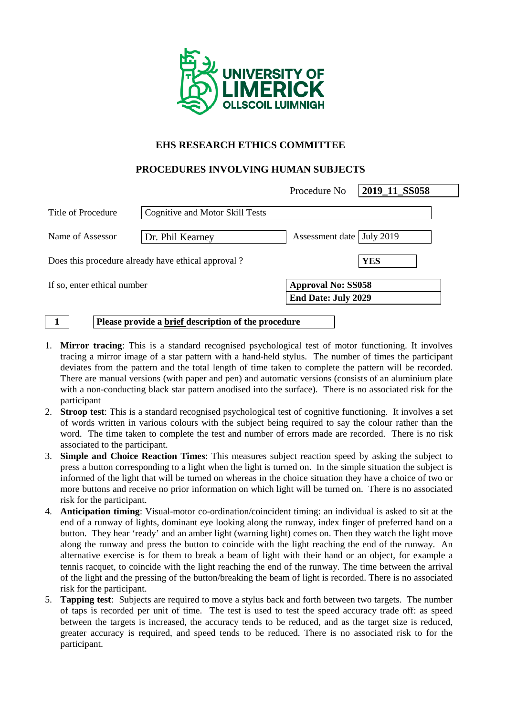

## **EHS RESEARCH ETHICS COMMITTEE**

### **PROCEDURES INVOLVING HUMAN SUBJECTS**

|                             |                                                    | Procedure No                | 2019_11_SS058 |
|-----------------------------|----------------------------------------------------|-----------------------------|---------------|
| Title of Procedure          | <b>Cognitive and Motor Skill Tests</b>             |                             |               |
| Name of Assessor            | Dr. Phil Kearney                                   | Assessment date   July 2019 |               |
|                             | Does this procedure already have ethical approval? | <b>YES</b>                  |               |
| If so, enter ethical number |                                                    | <b>Approval No: SS058</b>   |               |
|                             |                                                    | <b>End Date: July 2029</b>  |               |

**1 Please provide a brief description of the procedure**

- 1. **Mirror tracing**: This is a standard recognised psychological test of motor functioning. It involves tracing a mirror image of a star pattern with a hand-held stylus. The number of times the participant deviates from the pattern and the total length of time taken to complete the pattern will be recorded. There are manual versions (with paper and pen) and automatic versions (consists of an aluminium plate with a non-conducting black star pattern anodised into the surface). There is no associated risk for the participant
- 2. **Stroop test**: This is a standard recognised psychological test of cognitive functioning. It involves a set of words written in various colours with the subject being required to say the colour rather than the word. The time taken to complete the test and number of errors made are recorded. There is no risk associated to the participant.
- 3. **Simple and Choice Reaction Times**: This measures subject reaction speed by asking the subject to press a button corresponding to a light when the light is turned on. In the simple situation the subject is informed of the light that will be turned on whereas in the choice situation they have a choice of two or more buttons and receive no prior information on which light will be turned on. There is no associated risk for the participant.
- 4. **Anticipation timing**: Visual-motor co-ordination/coincident timing: an individual is asked to sit at the end of a runway of lights, dominant eye looking along the runway, index finger of preferred hand on a button. They hear 'ready' and an amber light (warning light) comes on. Then they watch the light move along the runway and press the button to coincide with the light reaching the end of the runway. An alternative exercise is for them to break a beam of light with their hand or an object, for example a tennis racquet, to coincide with the light reaching the end of the runway. The time between the arrival of the light and the pressing of the button/breaking the beam of light is recorded. There is no associated risk for the participant.
- 5. **Tapping test**: Subjects are required to move a stylus back and forth between two targets. The number of taps is recorded per unit of time. The test is used to test the speed accuracy trade off: as speed between the targets is increased, the accuracy tends to be reduced, and as the target size is reduced, greater accuracy is required, and speed tends to be reduced. There is no associated risk to for the participant.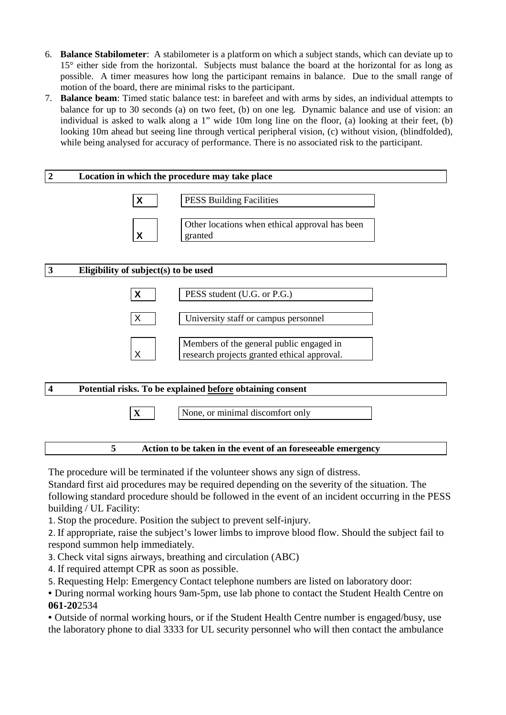- 6. **Balance Stabilometer**: A stabilometer is a platform on which a subject stands, which can deviate up to 15° either side from the horizontal. Subjects must balance the board at the horizontal for as long as possible. A timer measures how long the participant remains in balance. Due to the small range of motion of the board, there are minimal risks to the participant.
- 7. **Balance beam**: Timed static balance test: in barefeet and with arms by sides, an individual attempts to balance for up to 30 seconds (a) on two feet, (b) on one leg. Dynamic balance and use of vision: an individual is asked to walk along a 1" wide 10m long line on the floor, (a) looking at their feet, (b) looking 10m ahead but seeing line through vertical peripheral vision, (c) without vision, (blindfolded), while being analysed for accuracy of performance. There is no associated risk to the participant.



The procedure will be terminated if the volunteer shows any sign of distress.

Standard first aid procedures may be required depending on the severity of the situation. The following standard procedure should be followed in the event of an incident occurring in the PESS building / UL Facility:

1. Stop the procedure. Position the subject to prevent self-injury.

2. If appropriate, raise the subject's lower limbs to improve blood flow. Should the subject fail to respond summon help immediately.

- 3. Check vital signs airways, breathing and circulation (ABC)
- 4. If required attempt CPR as soon as possible.
- 5. Requesting Help: Emergency Contact telephone numbers are listed on laboratory door:

• During normal working hours 9am-5pm, use lab phone to contact the Student Health Centre on **061-20**2534

• Outside of normal working hours, or if the Student Health Centre number is engaged/busy, use the laboratory phone to dial 3333 for UL security personnel who will then contact the ambulance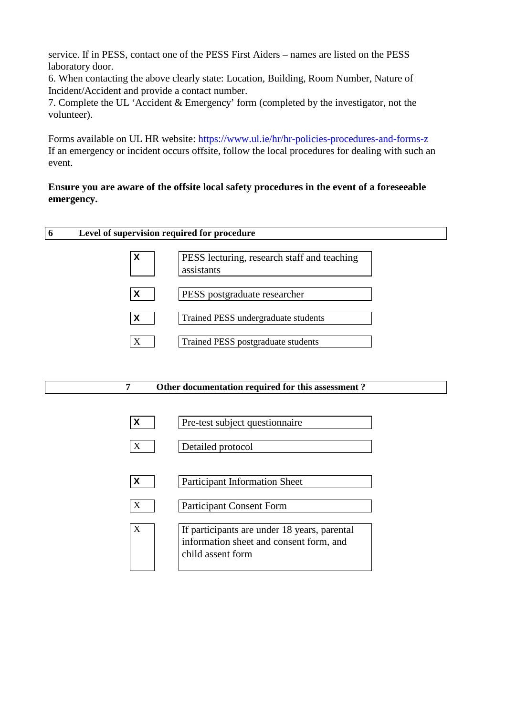service. If in PESS, contact one of the PESS First Aiders – names are listed on the PESS laboratory door.

6. When contacting the above clearly state: Location, Building, Room Number, Nature of Incident/Accident and provide a contact number.

7. Complete the UL 'Accident & Emergency' form (completed by the investigator, not the volunteer).

Forms available on UL HR website: https://www.ul.ie/hr/hr-policies-procedures-and-forms-z If an emergency or incident occurs offsite, follow the local procedures for dealing with such an event.

# **Ensure you are aware of the offsite local safety procedures in the event of a foreseeable emergency.**

| 6 |  |  |  |
|---|--|--|--|
|   |  |  |  |



### **7 Other documentation required for this assessment ?**